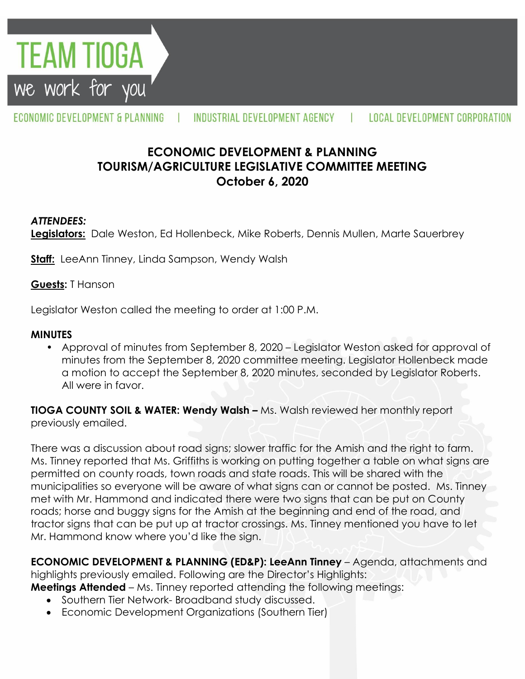**TEAM TIOGA** we work for you

#### ECONOMIC DEVELOPMENT & PLANNING INDUSTRIAL DEVELOPMENT AGENCY **LOCAL DEVELOPMENT CORPORATION**

# **ECONOMIC DEVELOPMENT & PLANNING TOURISM/AGRICULTURE LEGISLATIVE COMMITTEE MEETING October 6, 2020**

#### *ATTENDEES:*

**Legislators:** Dale Weston, Ed Hollenbeck, Mike Roberts, Dennis Mullen, Marte Sauerbrey

**Staff:** LeeAnn Tinney, Linda Sampson, Wendy Walsh

#### **Guests:** T Hanson

Legislator Weston called the meeting to order at 1:00 P.M.

#### **MINUTES**

• Approval of minutes from September 8, 2020 – Legislator Weston asked for approval of minutes from the September 8, 2020 committee meeting. Legislator Hollenbeck made a motion to accept the September 8, 2020 minutes, seconded by Legislator Roberts. All were in favor.

**TIOGA COUNTY SOIL & WATER: Wendy Walsh –** Ms. Walsh reviewed her monthly report previously emailed.

There was a discussion about road signs; slower traffic for the Amish and the right to farm. Ms. Tinney reported that Ms. Griffiths is working on putting together a table on what signs are permitted on county roads, town roads and state roads. This will be shared with the municipalities so everyone will be aware of what signs can or cannot be posted. Ms. Tinney met with Mr. Hammond and indicated there were two signs that can be put on County roads; horse and buggy signs for the Amish at the beginning and end of the road, and tractor signs that can be put up at tractor crossings. Ms. Tinney mentioned you have to let Mr. Hammond know where you'd like the sign.

**ECONOMIC DEVELOPMENT & PLANNING (ED&P): LeeAnn Tinney** – Agenda, attachments and highlights previously emailed. Following are the Director's Highlights:

**Meetings Attended** – Ms. Tinney reported attending the following meetings:

- Southern Tier Network-Broadband study discussed.
- Economic Development Organizations (Southern Tier)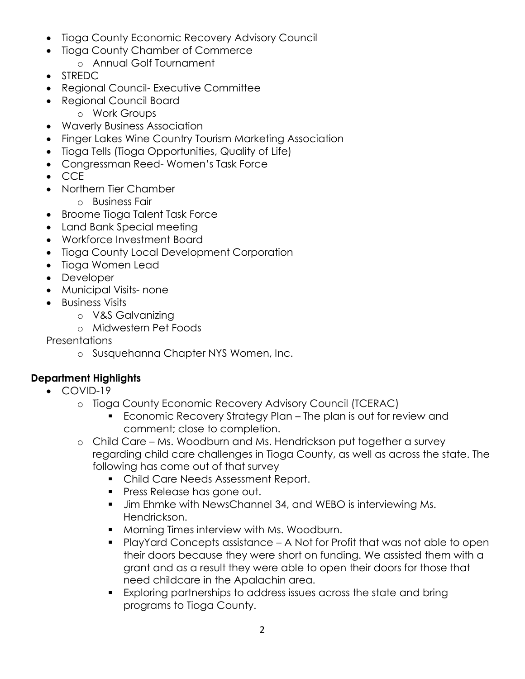- Tioga County Economic Recovery Advisory Council
- Tioga County Chamber of Commerce
	- o Annual Golf Tournament
- STREDC
- Regional Council- Executive Committee
- Regional Council Board
	- o Work Groups
- Waverly Business Association
- Finger Lakes Wine Country Tourism Marketing Association
- Tioga Tells (Tioga Opportunities, Quality of Life)
- Congressman Reed- Women's Task Force
- $\bullet$  CCF
- Northern Tier Chamber
	- o Business Fair
- Broome Tioga Talent Task Force
- Land Bank Special meeting
- Workforce Investment Board
- Tioga County Local Development Corporation
- Tioga Women Lead
- Developer
- Municipal Visits- none
- Business Visits
	- o V&S Galvanizing
	- o Midwestern Pet Foods

Presentations

o Susquehanna Chapter NYS Women, Inc.

## **Department Highlights**

- COVID-19
	- o Tioga County Economic Recovery Advisory Council (TCERAC)
		- **Economic Recovery Strategy Plan The plan is out for review and** comment; close to completion.
	- o Child Care Ms. Woodburn and Ms. Hendrickson put together a survey regarding child care challenges in Tioga County, as well as across the state. The following has come out of that survey
		- **Child Care Needs Assessment Report.**
		- **Press Release has gone out.**
		- **Jim Ehmke with NewsChannel 34, and WEBO is interviewing Ms.** Hendrickson.
		- **Morning Times interview with Ms. Woodburn.**
		- PlayYard Concepts assistance A Not for Profit that was not able to open their doors because they were short on funding. We assisted them with a grant and as a result they were able to open their doors for those that need childcare in the Apalachin area.
		- Exploring partnerships to address issues across the state and bring programs to Tioga County.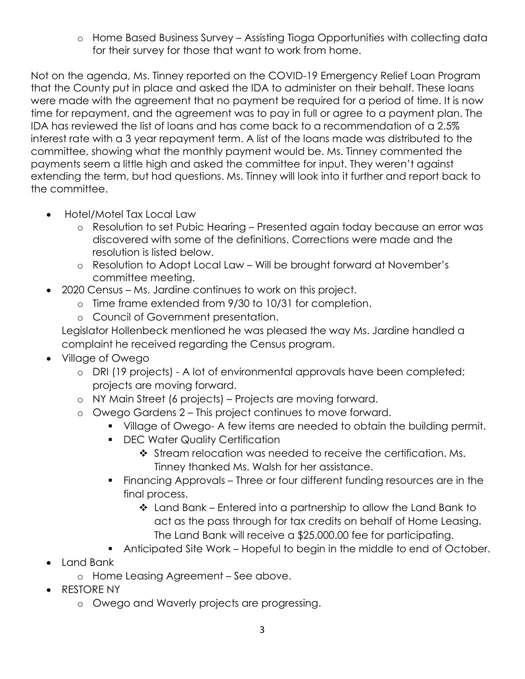o Home Based Business Survey – Assisting Tioga Opportunities with collecting data for their survey for those that want to work from home.

Not on the agenda, Ms. Tinney reported on the COVID-19 Emergency Relief Loan Program that the County put in place and asked the IDA to administer on their behalf. These loans were made with the agreement that no payment be required for a period of time. It is now time for repayment, and the agreement was to pay in full or agree to a payment plan. The IDA has reviewed the list of loans and has come back to a recommendation of a 2.5% interest rate with a 3 year repayment term. A list of the loans made was distributed to the committee, showing what the monthly payment would be. Ms. Tinney commented the payments seem a little high and asked the committee for input. They weren't against extending the term, but had questions. Ms. Tinney will look into it further and report back to the committee.

- Hotel/Motel Tax Local Law
	- o Resolution to set Pubic Hearing Presented again today because an error was discovered with some of the definitions. Corrections were made and the resolution is listed below.
	- o Resolution to Adopt Local Law Will be brought forward at November's committee meeting.
- 2020 Census Ms. Jardine continues to work on this project.
	- o Time frame extended from 9/30 to 10/31 for completion.
	- o Council of Government presentation.

Legislator Hollenbeck mentioned he was pleased the way Ms. Jardine handled a complaint he received regarding the Census program.

- Village of Owego
	- o DRI (19 projects) A lot of environmental approvals have been completed; projects are moving forward.
	- o NY Main Street (6 projects) Projects are moving forward.
	- o Owego Gardens 2 This project continues to move forward.
		- Village of Owego- A few items are needed to obtain the building permit.
		- **DEC Water Quality Certification** 
			- ❖ Stream relocation was needed to receive the certification. Ms. Tinney thanked Ms. Walsh for her assistance.
		- Financing Approvals Three or four different funding resources are in the final process.
			- Land Bank Entered into a partnership to allow the Land Bank to act as the pass through for tax credits on behalf of Home Leasing. The Land Bank will receive a \$25,000.00 fee for participating.
		- Anticipated Site Work Hopeful to begin in the middle to end of October.
- Land Bank
	- o Home Leasing Agreement See above.
- RESTORE NY
	- o Owego and Waverly projects are progressing.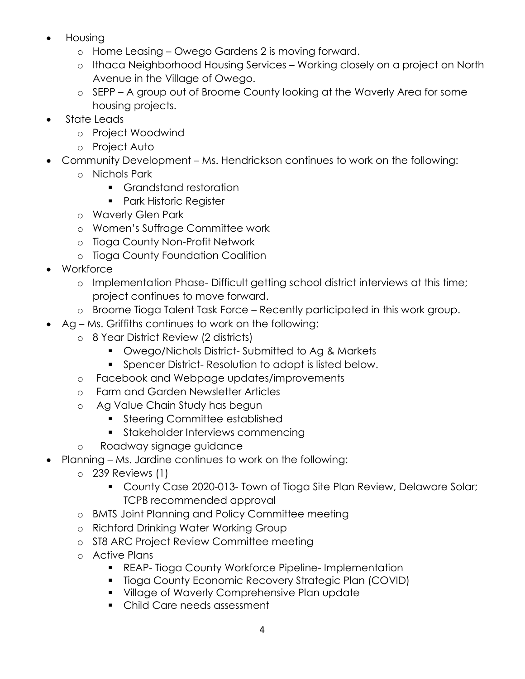- Housing
	- o Home Leasing Owego Gardens 2 is moving forward.
	- o Ithaca Neighborhood Housing Services Working closely on a project on North Avenue in the Village of Owego.
	- o SEPP A group out of Broome County looking at the Waverly Area for some housing projects.
- State Leads
	- o Project Woodwind
	- o Project Auto
- Community Development Ms. Hendrickson continues to work on the following:
	- o Nichols Park
		- **Grandstand restoration**
		- **Park Historic Register**
	- o Waverly Glen Park
	- o Women's Suffrage Committee work
	- o Tioga County Non-Profit Network
	- o Tioga County Foundation Coalition
- Workforce
	- o Implementation Phase- Difficult getting school district interviews at this time; project continues to move forward.
	- o Broome Tioga Talent Task Force Recently participated in this work group.
- Ag Ms. Griffiths continues to work on the following:
	- o 8 Year District Review (2 districts)
		- Owego/Nichols District- Submitted to Ag & Markets
		- **Spencer District- Resolution to adopt is listed below.**
	- o Facebook and Webpage updates/improvements
	- o Farm and Garden Newsletter Articles
	- o Ag Value Chain Study has begun
		- **Steering Committee established**
		- **Stakeholder Interviews commencing**
	- o Roadway signage guidance
- Planning Ms. Jardine continues to work on the following:
	- o 239 Reviews (1)
		- County Case 2020-013- Town of Tioga Site Plan Review, Delaware Solar; TCPB recommended approval
	- o BMTS Joint Planning and Policy Committee meeting
	- o Richford Drinking Water Working Group
	- o ST8 ARC Project Review Committee meeting
	- o Active Plans
		- **REAP- Tioga County Workforce Pipeline- Implementation**
		- **Tioga County Economic Recovery Strategic Plan (COVID)**
		- **Village of Waverly Comprehensive Plan update**
		- Child Care needs assessment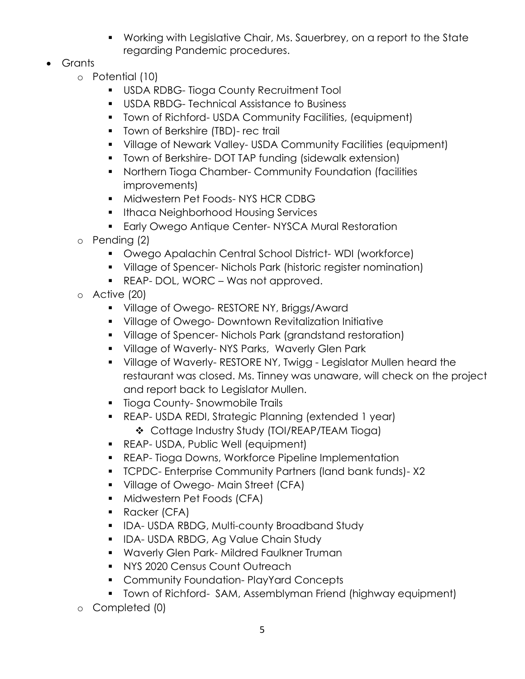- Working with Legislative Chair, Ms. Sauerbrey, on a report to the State regarding Pandemic procedures.
- Grants
	- o Potential (10)
		- **USDA RDBG-Tioga County Recruitment Tool**
		- **USDA RBDG- Technical Assistance to Business**
		- Town of Richford- USDA Community Facilities, (equipment)
		- **Town of Berkshire (TBD)- rec trail**
		- Village of Newark Valley- USDA Community Facilities (equipment)
		- **T** Town of Berkshire- DOT TAP funding (sidewalk extension)
		- Northern Tioga Chamber- Community Foundation (facilities improvements)
		- **Midwestern Pet Foods-NYS HCR CDBG**
		- **Ithaca Neighborhood Housing Services**
		- **Early Owego Antique Center- NYSCA Mural Restoration**
	- o Pending (2)
		- Owego Apalachin Central School District- WDI (workforce)
		- Village of Spencer- Nichols Park (historic register nomination)
		- REAP- DOL, WORC Was not approved.
	- o Active (20)
		- **Village of Owego- RESTORE NY, Briggs/Award**
		- **Village of Owego- Downtown Revitalization Initiative**
		- Village of Spencer- Nichols Park (grandstand restoration)
		- **Village of Waverly-NYS Parks, Waverly Glen Park**
		- **Village of Waverly- RESTORE NY, Twigg Legislator Mullen heard the** restaurant was closed. Ms. Tinney was unaware, will check on the project and report back to Legislator Mullen.
		- **Tioga County-Snowmobile Trails**
		- REAP- USDA REDI, Strategic Planning (extended 1 year)
			- Cottage Industry Study (TOI/REAP/TEAM Tioga)
		- **REAP- USDA, Public Well (equipment)**
		- REAP- Tioga Downs, Workforce Pipeline Implementation
		- TCPDC- Enterprise Community Partners (land bank funds)- X2
		- Village of Owego- Main Street (CFA)
		- **Midwestern Pet Foods (CFA)**
		- Racker (CFA)
		- **IDA-USDA RBDG, Multi-county Broadband Study**
		- **IDA- USDA RBDG, Ag Value Chain Study**
		- **Waverly Glen Park- Mildred Faulkner Truman**
		- **NYS 2020 Census Count Outreach**
		- **Community Foundation- PlayYard Concepts**
		- **Town of Richford- SAM, Assemblyman Friend (highway equipment)**
	- o Completed (0)